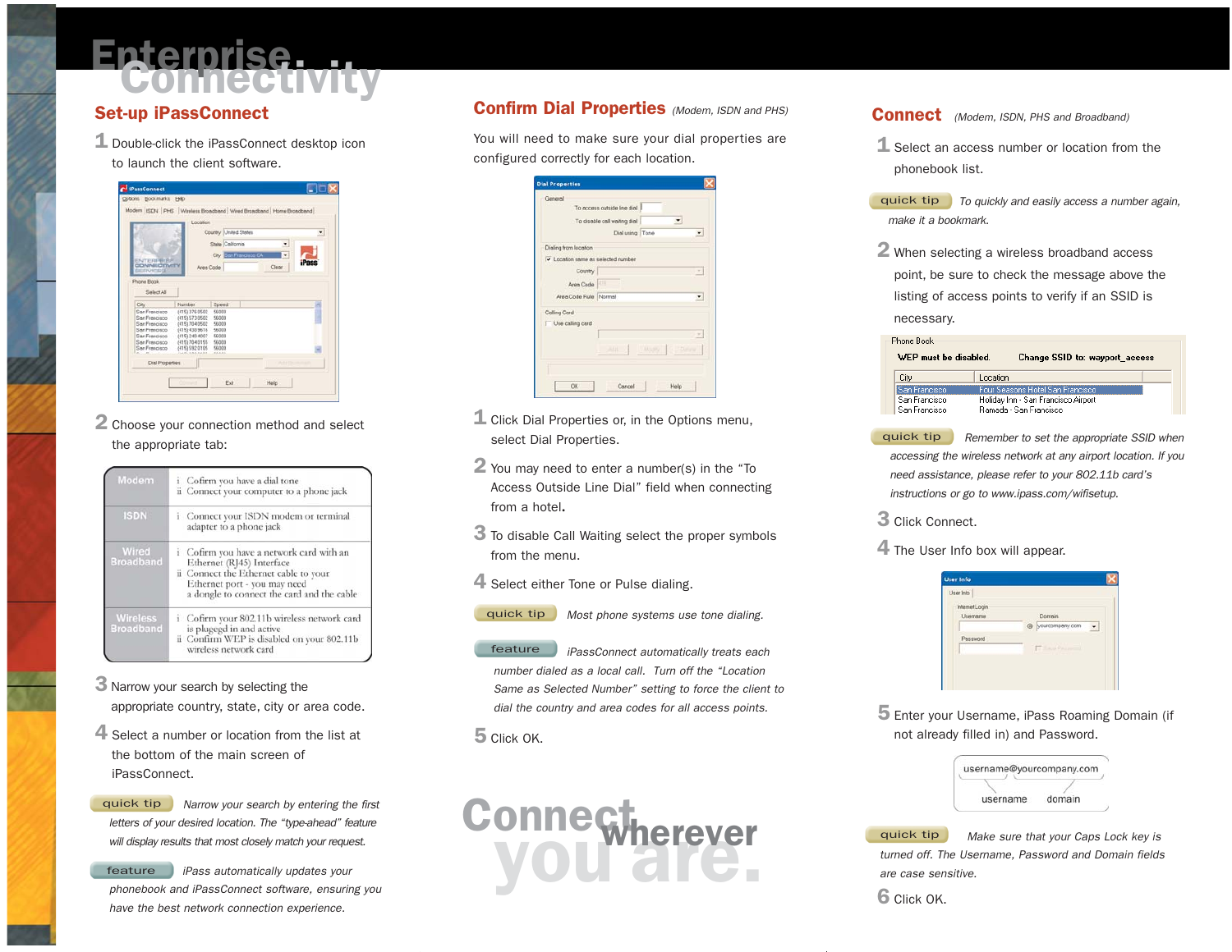# Epterprise Luis

## Set-up iPassConnect

- 1 Double-click the iPassConnect desktop icon
	- to launch the client software.



2 Choose your connection method and select the appropriate tab:

| Modem                               | <i>i</i> Cofirm you have a dial tone<br>ii Connect your computer to a phone jack                                                                                                             |
|-------------------------------------|----------------------------------------------------------------------------------------------------------------------------------------------------------------------------------------------|
| <b>ISDN</b>                         | <i>i</i> Connect your ISDN modem or terminal<br>adapter to a phone jack                                                                                                                      |
| Wired<br><b>Broadband</b>           | i Cofirm you have a network card with an<br>Ethernet (RJ45) Interface<br>ii Connect the Ethernet cable to your<br>Ethernet port - you may need<br>a dongle to connect the card and the cable |
| <b>Wireless</b><br><b>Broadband</b> | i Cofirm your 802.11b wireless network card<br>is plugegd in and active<br>ii Confirm WEP is disabled on your 802.11b<br>wireless network card                                               |

- 3 Narrow your search by selecting the appropriate country, state, city or area code.
- 4 Select a number or location from the list at the bottom of the main screen of iPassConnect.

Narrow your search by entering the first letters of your desired location. The "type-ahead" feature will display results that most closely match your request. quick tip

feature iPass automatically updates your phonebook and iPassConnect software, ensuring you have the best network connection experience.

## Confirm Dial Properties (Modem, ISDN and PHS)

You will need to make sure your dial properties are configured correctly for each location.

| General                            | To access outside line dial  |               |      |
|------------------------------------|------------------------------|---------------|------|
|                                    | To disable call waiting dial |               |      |
|                                    | Dial using Tone              |               |      |
| Dialing from location              |                              |               |      |
| v Location same as selected number |                              |               |      |
| Country                            |                              |               | ۰    |
| Area Code                          |                              |               |      |
| Area Code Rule Normal              |                              |               | ۰    |
| Calling Card                       |                              |               |      |
| Use calling card                   |                              |               |      |
|                                    |                              |               |      |
|                                    | <b>JAH</b>                   | Mary C. Phone |      |
|                                    |                              |               |      |
|                                    |                              |               |      |
|                                    |                              |               | Help |

- $\mathbf 1$  Click Dial Properties or, in the Options menu, select Dial Properties.
- 2 You may need to enter a number(s) in the "To Access Outside Line Dial" field when connecting from a hotel**.**
- 3 To disable Call Waiting select the proper symbols from the menu.
- 4 Select either Tone or Pulse dialing.
	- Most phone systems use tone dialing. quick tip

iPassConnect automatically treats each number dialed as a local call. Turn off the "Location Same as Selected Number" setting to force the client to dial the country and area codes for all access points. feature

5 Click OK.



#### **Connect** (Modem, ISDN, PHS and Broadband)

 $\mathbf 1$  Select an access number or location from the phonebook list.

quick tip | To quickly and easily access a number again, make it a bookmark.

2 When selecting a wireless broadband access point, be sure to check the message above the listing of access points to verify if an SSID is

necessary.

| hone Book             |                                     |                                |  |
|-----------------------|-------------------------------------|--------------------------------|--|
| WEP must be disabled. |                                     | Change SSID to: wayport access |  |
| City                  | Location                            |                                |  |
| San Francisco         | Four Seasons Hotel San Francisco    |                                |  |
| San Francisco         | Holiday Inn - San Francisco Airport |                                |  |
| San Francisco         | Ramada - San Francisco              |                                |  |

Remember to set the appropriate SSID when accessing the wireless network at any airport location. If you need assistance, please refer to your 802.11b card's instructions or go to www.ipass.com/wifisetup. quick tip

- 3 Click Connect.
- 4 The User Info box will appear.



5 Enter your Username, iPass Roaming Domain (if not already filled in) and Password.

| username@yourcompany.com |        |
|--------------------------|--------|
|                          |        |
| username                 | domain |

Make sure that your Caps Lock key is turned off. The Username, Password and Domain fields are case sensitive. quick tip

**6** Click OK.